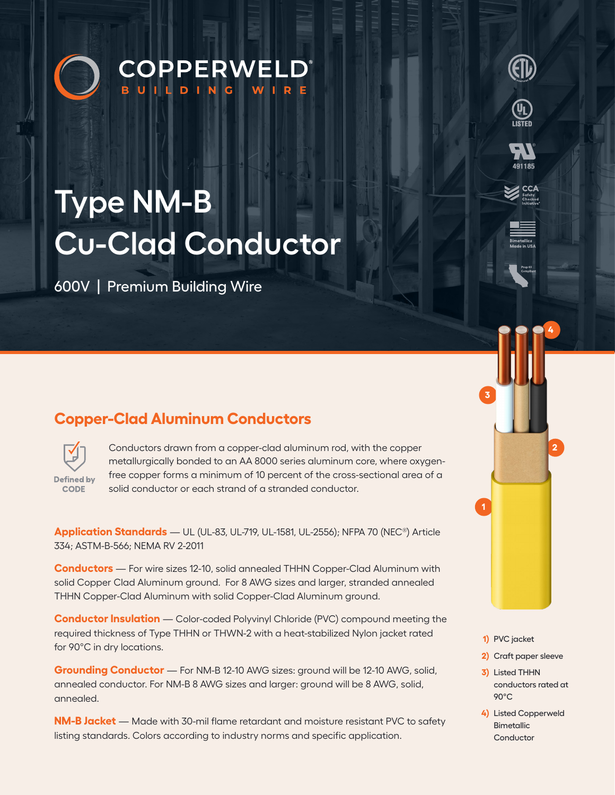



**CCA** 

# **Type NM-B Cu-Clad Conductor**

600V | Premium Building Wire

## **Copper-Clad Aluminum Conductors**



Conductors drawn from a copper-clad aluminum rod, with the copper metallurgically bonded to an AA 8000 series aluminum core, where oxygenfree copper forms a minimum of 10 percent of the cross-sectional area of a solid conductor or each strand of a stranded conductor.

**Application Standards** — UL (UL-83, UL-719, UL-1581, UL-2556); NFPA 70 (NEC®) Article 334; ASTM-B-566; NEMA RV 2-2011

**Conductors** — For wire sizes 12-10, solid annealed THHN Copper-Clad Aluminum with solid Copper Clad Aluminum ground. For 8 AWG sizes and larger, stranded annealed THHN Copper-Clad Aluminum with solid Copper-Clad Aluminum ground.

**Conductor Insulation** — Color-coded Polyvinyl Chloride (PVC) compound meeting the required thickness of Type THHN or THWN-2 with a heat-stabilized Nylon jacket rated for 90°C in dry locations.

**Grounding Conductor** — For NM-B 12-10 AWG sizes: ground will be 12-10 AWG, solid, annealed conductor. For NM-B 8 AWG sizes and larger: ground will be 8 AWG, solid, annealed.

**NM-B Jacket** — Made with 30-mil flame retardant and moisture resistant PVC to safety listing standards. Colors according to industry norms and specific application.

**1)** PVC jacket

**3**

**1**

**2)** Craft paper sleeve

**2**

**4**

- **3)** Listed THHN conductors rated at 90°C
- **4)** Listed Copperweld **Bimetallic** Conductor